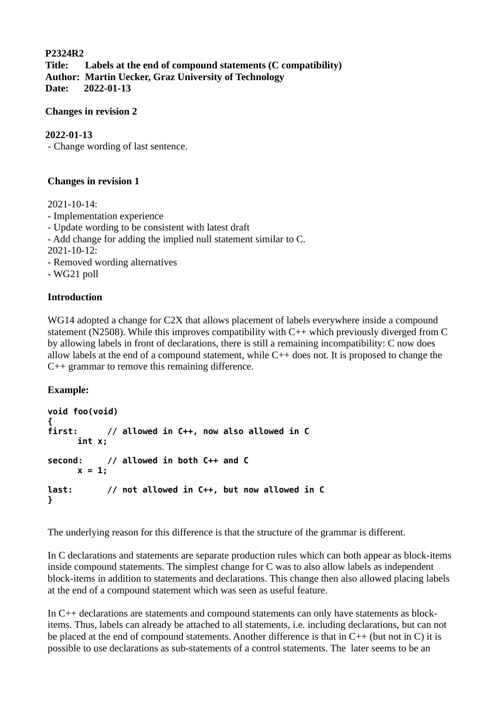## **P2324R2**

**Title: Labels at the end of compound statements (C compatibility) Author: Martin Uecker, Graz University of Technology Date: 2022-01-13**

### **Changes in revision 2**

## **2022-01-13**

- Change wording of last sentence.

## **Changes in revision 1**

2021-10-14: - Implementation experience - Update wording to be consistent with latest draft - Add change for adding the implied null statement similar to C. 2021-10-12: - Removed wording alternatives - WG21 poll

### **Introduction**

WG14 adopted a change for C2X that allows placement of labels everywhere inside a compound statement (N2508). While this improves compatibility with C++ which previously diverged from C by allowing labels in front of declarations, there is still a remaining incompatibility: C now does allow labels at the end of a compound statement, while  $C++$  does not. It is proposed to change the C++ grammar to remove this remaining difference.

### **Example:**

```
void foo(void)
{
first: // allowed in C++, now also allowed in C
     int x; 
second: // allowed in both C++ and C
     x = 1;
last: // not allowed in C++, but now allowed in C
}
```
The underlying reason for this difference is that the structure of the grammar is different.

In C declarations and statements are separate production rules which can both appear as block-items inside compound statements. The simplest change for C was to also allow labels as independent block-items in addition to statements and declarations. This change then also allowed placing labels at the end of a compound statement which was seen as useful feature.

In C++ declarations are statements and compound statements can only have statements as blockitems. Thus, labels can already be attached to all statements, i.e. including declarations, but can not be placed at the end of compound statements. Another difference is that in C++ (but not in C) it is possible to use declarations as sub-statements of a control statements. The later seems to be an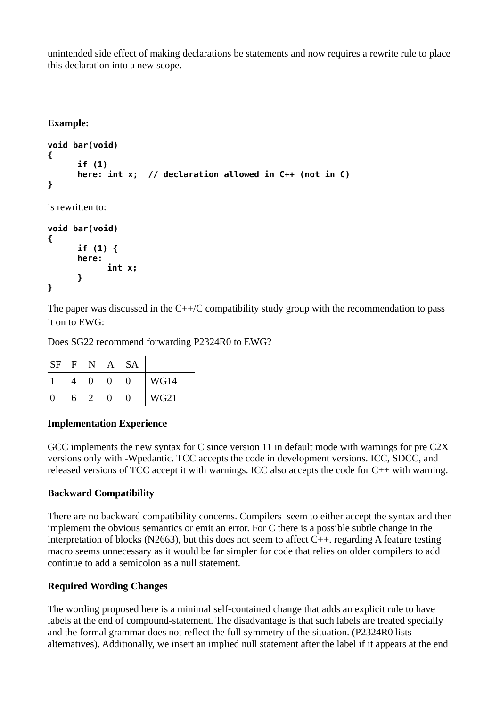unintended side effect of making declarations be statements and now requires a rewrite rule to place this declaration into a new scope.

# **Example:**

```
void bar(void)
{
      if (1)
      here: int x; // declaration allowed in C++ (not in C)
}
```
is rewritten to:

```
void bar(void)
{
      if (1) {
      here: 
            int x;
      }
}
```
The paper was discussed in the  $C++/C$  compatibility study group with the recommendation to pass it on to EWG:

Does SG22 recommend forwarding P2324R0 to EWG?

| SF | F |   | A | <b>SA</b> |      |
|----|---|---|---|-----------|------|
|    |   | 0 | O | 0         | WG14 |
|    | 6 | ר | U | 0         | WG21 |

# **Implementation Experience**

GCC implements the new syntax for C since version 11 in default mode with warnings for pre C2X versions only with -Wpedantic. TCC accepts the code in development versions. ICC, SDCC, and released versions of TCC accept it with warnings. ICC also accepts the code for C++ with warning.

# **Backward Compatibility**

There are no backward compatibility concerns. Compilers seem to either accept the syntax and then implement the obvious semantics or emit an error. For C there is a possible subtle change in the interpretation of blocks (N2663), but this does not seem to affect C++. regarding A feature testing macro seems unnecessary as it would be far simpler for code that relies on older compilers to add continue to add a semicolon as a null statement.

### **Required Wording Changes**

The wording proposed here is a minimal self-contained change that adds an explicit rule to have labels at the end of compound-statement. The disadvantage is that such labels are treated specially and the formal grammar does not reflect the full symmetry of the situation. (P2324R0 lists alternatives). Additionally, we insert an implied null statement after the label if it appears at the end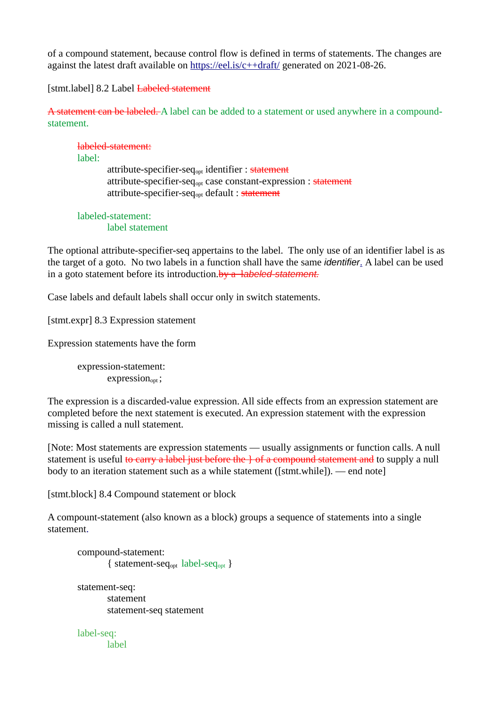of a compound statement, because control flow is defined in terms of statements. The changes are against the latest draft available on <https://eel.is/c++draft/> generated on 2021-08-26.

[stmt.label] 8.2 Label Labeled statement

A statement can be labeled. A label can be added to a statement or used anywhere in a compoundstatement.

## labeled-statement:

label:

attribute-specifier-seq<sub>opt</sub> identifier : statement attribute-specifier-seq<sub>opt</sub> case constant-expression : statement attribute-specifier-seq<sub>opt</sub> default : statement

#### labeled-statement: label statement

The optional attribute-specifier-seq appertains to the label. The only use of an identifier label is as the target of a goto. No two labels in a function shall have the same *[identifier](https://eel.is/c++draft/lex.name#nt:identifier)*[.](https://eel.is/c++draft/stmt.label#1.sentence-4) A label can be used in a goto statement before its introduction.by a l*[abeled-statement](https://eel.is/c++draft/stmt.label#nt:labeled-statement).*

Case labels and default labels shall occur only in switch statements.

[stmt.expr] 8.3 Expression statement

Expression statements have the form

expression-statement:  $expression_{\text{opt}}$ ;

The expression is a discarded-value expression. All side effects from an expression statement are completed before the next statement is executed. An expression statement with the expression missing is called a null statement.

[Note: Most statements are expression statements — usually assignments or function calls. A null statement is useful to carry a label just before the  $\}$  of a compound statement and to supply a null body to an iteration statement such as a while statement ([stmt.while]). — end note]

[stmt.block] 8.4 Compound statement or block

A compount-statement (also known as a block) groups a sequence of statements into a single statement[.](https://eel.is/c++draft/stmt.block#1.sentence-1)

compound-statement: { statement-seqopt label-seqopt } statement-seq: statement statement-seq statement label-seq:

label